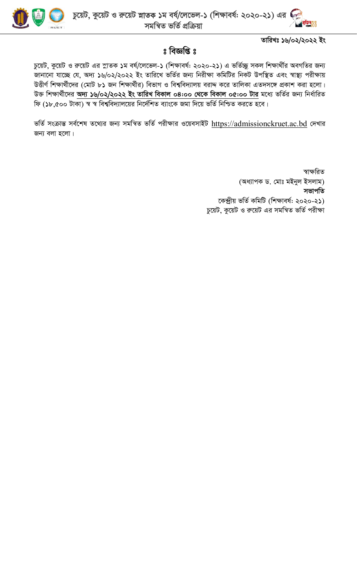

তারিখঃ ১৬/০২/২০২২ ইং

## $s$  বিজ্ঞপ্তি  $s$

চুয়েট, কুয়েট ও রুয়েট এর স্নাতক ১ম বর্ষ/লেভেল-১ (শিক্ষাবর্ষ: ২০২০-২১) এ ভর্তিচ্ছু সকল শিক্ষার্থীর অবগতির জন্য জানানো যাচ্ছে যে, অদ্য ১৬/০২/২০২২ ইং তারিখে ভর্তির জন্য নিরীক্ষা কমিটির নিকট উপস্থিত এবং স্বাস্থ্য পরীক্ষায় উত্তীর্ণ শিক্ষার্থীদের (মোট ৮১ জন শিক্ষার্থীর) বিভাগ ও বিশ্ববিদ্যালয় বরাদ্দ করে তালিকা এতদসঙ্গে প্রকাশ করা হলো। উক্ত শিক্ষার্থীদের **অদ্য ১৬/০২/২০২২ ইং তারিখ বিকাল ০৪:০০ থেকে বিকাল ০৫:০০ টার** মধ্যে ভর্তির জন্য নির্ধারিত ফি (১৮,৫০০ টাকা) স্ব স্ব বিশ্ববিদ্যালয়ের নির্দেশিত ব্যাংকে জমা দিয়ে ভর্তি নিশ্চিত করতে হবে।

ভর্তি সংক্রান্ত সর্বশেষ তথ্যের জন্য সমন্বিত ভর্তি পরীক্ষার ওয়েবসাইট https://admissionckruet.ac.bd দেখার জন্য বলা হলো।

> স্বাক্ষরিত (অধ্যাপক ড. মোঃ মইনুল ইসলাম) সভাপতি কেন্দ্ৰীয় ভৰ্তি কমিটি (শিক্ষাবৰ্ষ: ২০২০-২১) চুয়েট, কুয়েট ও রুয়েট এর সমন্বিত ভর্তি পরীক্ষা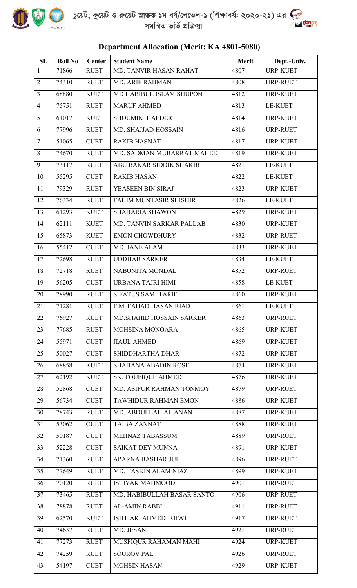

| Department Anocation (Brefit, ISA 4001-5000) |                |               |                            |              |                 |  |  |  |
|----------------------------------------------|----------------|---------------|----------------------------|--------------|-----------------|--|--|--|
| SL                                           | <b>Roll No</b> | <b>Center</b> | <b>Student Name</b>        | <b>Merit</b> | Dept.-Univ.     |  |  |  |
| $\mathbf{1}$                                 | 71866          | <b>RUET</b>   | MD. TANVIR HASAN RAHAT     | 4807         | <b>URP-KUET</b> |  |  |  |
| $\overline{2}$                               | 74310          | <b>RUET</b>   | <b>MD. ARIF RAHMAN</b>     | 4808         | <b>URP-RUET</b> |  |  |  |
| $\overline{3}$                               | 68880          | <b>KUET</b>   | MD HABIBUL ISLAM SHUPON    | 4812         | <b>URP-KUET</b> |  |  |  |
| $\overline{4}$                               | 75751          | <b>RUET</b>   | <b>MARUF AHMED</b>         | 4813         | <b>LE-KUET</b>  |  |  |  |
| 5                                            | 61017          | <b>KUET</b>   | <b>SHOUMIK HALDER</b>      | 4814         | <b>URP-KUET</b> |  |  |  |
| 6                                            | 77996          | <b>RUET</b>   | MD. SHAJJAD HOSSAIN        | 4816         | <b>URP-RUET</b> |  |  |  |
| $\overline{7}$                               | 51065          | <b>CUET</b>   | <b>RAKIB HASNAT</b>        | 4817         | <b>URP-KUET</b> |  |  |  |
| 8                                            | 74670          | <b>RUET</b>   | MD. SADMAN MUBARRAT MAHEE  | 4819         | <b>URP-KUET</b> |  |  |  |
| 9                                            | 73117          | <b>RUET</b>   | ABU BAKAR SIDDIK SHAKIB    | 4821         | <b>LE-KUET</b>  |  |  |  |
| 10                                           | 55295          | <b>CUET</b>   | <b>RAKIB HASAN</b>         | 4822         | <b>LE-KUET</b>  |  |  |  |
| 11                                           | 79329          | <b>RUET</b>   | YEASEEN BIN SIRAJ          | 4823         | <b>URP-KUET</b> |  |  |  |
| 12                                           | 76334          | <b>RUET</b>   | FAHIM MUNTASIR SHISHIR     | 4826         | <b>LE-KUET</b>  |  |  |  |
| 13                                           | 61293          | <b>KUET</b>   | <b>SHAHARIA SHAWON</b>     | 4829         | <b>URP-KUET</b> |  |  |  |
| 14                                           | 62111          | <b>KUET</b>   | MD. TANVIN SARKAR PALLAB   | 4830         | <b>URP-KUET</b> |  |  |  |
| 15                                           | 65873          | <b>KUET</b>   | <b>EMON CHOWDHURY</b>      | 4832         | <b>URP-RUET</b> |  |  |  |
| 16                                           | 55412          | <b>CUET</b>   | MD. JANE ALAM              | 4833         | <b>URP-KUET</b> |  |  |  |
| 17                                           | 72698          | <b>RUET</b>   | <b>UDDHAB SARKER</b>       | 4834         | <b>LE-KUET</b>  |  |  |  |
| 18                                           | 72718          | <b>RUET</b>   | NABONITA MONDAL            | 4852         | <b>URP-RUET</b> |  |  |  |
| 19                                           | 56205          | <b>CUET</b>   | <b>URBANA TAJRI HIMI</b>   | 4858         | <b>LE-KUET</b>  |  |  |  |
| 20                                           | 78990          | <b>RUET</b>   | <b>SIFATUS SAMI TARIF</b>  | 4860         | <b>URP-KUET</b> |  |  |  |
| 21                                           | 71281          | <b>RUET</b>   | F.M. FAHAD HASAN RIAD      | 4861         | <b>LE-KUET</b>  |  |  |  |
| 22                                           | 76927          | <b>RUET</b>   | MD. SHAHID HOSSAIN SARKER  | 4863         | <b>URP-RUET</b> |  |  |  |
| 23                                           | 77685          | <b>RUET</b>   | MOHSINA MONOARA            | 4865         | <b>URP-KUET</b> |  |  |  |
| 24                                           | 55971          | <b>CUET</b>   | <b>JIAUL AHMED</b>         | 4869         | <b>URP-KUET</b> |  |  |  |
| 25                                           | 50027          | <b>CUET</b>   | SHIDDHARTHA DHAR           | 4872         | <b>URP-KUET</b> |  |  |  |
| 26                                           | 68858          | <b>KUET</b>   | <b>SHAHANA ABADIN ROSE</b> | 4874         | <b>URP-KUET</b> |  |  |  |
| 27                                           | 62192          | <b>KUET</b>   | <b>SK. TOUFIQUE AHMED</b>  | 4876         | <b>URP-KUET</b> |  |  |  |
| 28                                           | 52868          | <b>CUET</b>   | MD. ASIFUR RAHMAN TONMOY   | 4879         | <b>URP-RUET</b> |  |  |  |
| 29                                           | 56734          | <b>CUET</b>   | TAWHIDUR RAHMAN EMON       | 4886         | <b>URP-KUET</b> |  |  |  |
| 30                                           | 78743          | <b>RUET</b>   | MD. ABDULLAH AL ANAN       | 4887         | <b>URP-KUET</b> |  |  |  |
| 31                                           | 53062          | <b>CUET</b>   | <b>TAIBA ZANNAT</b>        | 4888         | <b>URP-KUET</b> |  |  |  |
| 32                                           | 50187          | <b>CUET</b>   | MEHNAZ TABASSUM            | 4889         | <b>URP-RUET</b> |  |  |  |
| 33                                           | 52228          | <b>CUET</b>   | <b>SAIKAT DEY MUNNA</b>    | 4891         | <b>URP-KUET</b> |  |  |  |
| 34                                           | 71360          | <b>RUET</b>   | APARNA BASHAR JUI          | 4896         | <b>URP-RUET</b> |  |  |  |
| 35                                           | 77649          | <b>RUET</b>   | MD. TASKIN ALAM NIAZ       | 4899         | <b>URP-KUET</b> |  |  |  |
| 36                                           | 70120          | <b>RUET</b>   | <b>ISTIYAK MAHMOOD</b>     | 4901         | <b>URP-RUET</b> |  |  |  |
| 37                                           | 73465          | <b>RUET</b>   | MD. HABIBULLAH BASAR SANTO | 4906         | <b>URP-RUET</b> |  |  |  |
| 38                                           | 78878          | <b>RUET</b>   | <b>AL-AMIN RABBI</b>       | 4911         | <b>URP-RUET</b> |  |  |  |
| 39                                           | 62570          | <b>KUET</b>   | ISHTIAK AHMED RIFAT        | 4917         | <b>URP-RUET</b> |  |  |  |
| 40                                           | 74637          | <b>RUET</b>   | MD. JESAN                  | 4921         | <b>URP-RUET</b> |  |  |  |
| 41                                           | 77273          | <b>RUET</b>   | MUSFIQUR RAHAMAN MAHI      | 4924         | <b>URP-KUET</b> |  |  |  |
| 42                                           | 74259          | <b>RUET</b>   | <b>SOUROV PAL</b>          | 4926         | <b>URP-RUET</b> |  |  |  |
| 43                                           | 54197          | <b>CUET</b>   | <b>MOHSIN HASAN</b>        | 4929         | <b>URP-KUET</b> |  |  |  |

## **Department Allocation (Merit: KA 4801-5080)**